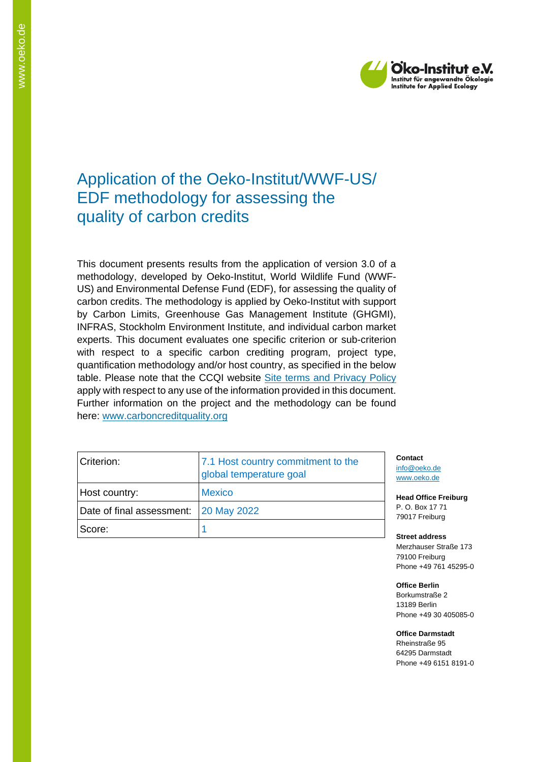

# Application of the Oeko-Institut/WWF-US/ EDF methodology for assessing the quality of carbon credits

This document presents results from the application of version 3.0 of a methodology, developed by Oeko-Institut, World Wildlife Fund (WWF-US) and Environmental Defense Fund (EDF), for assessing the quality of carbon credits. The methodology is applied by Oeko-Institut with support by Carbon Limits, Greenhouse Gas Management Institute (GHGMI), INFRAS, Stockholm Environment Institute, and individual carbon market experts. This document evaluates one specific criterion or sub-criterion with respect to a specific carbon crediting program, project type, quantification methodology and/or host country, as specified in the below table. Please note that the CCQI website [Site terms and Privacy Policy](https://carboncreditquality.org/terms.html) apply with respect to any use of the information provided in this document. Further information on the project and the methodology can be found here: [www.carboncreditquality.org](http://www.carboncreditquality.org/)

| Criterion:                            | 7.1 Host country commitment to the<br>global temperature goal |  |
|---------------------------------------|---------------------------------------------------------------|--|
| Host country:                         | <b>Mexico</b>                                                 |  |
| Date of final assessment: 20 May 2022 |                                                               |  |
| Score:                                |                                                               |  |

**Contact** [info@oeko.de](mailto:info@oeko.de) [www.oeko.de](http://www.oeko.de/)

**Head Office Freiburg** P. O. Box 17 71 79017 Freiburg

**Street address** Merzhauser Straße 173 79100 Freiburg Phone +49 761 45295-0

**Office Berlin** Borkumstraße 2 13189 Berlin Phone +49 30 405085-0

**Office Darmstadt** Rheinstraße 95

64295 Darmstadt Phone +49 6151 8191-0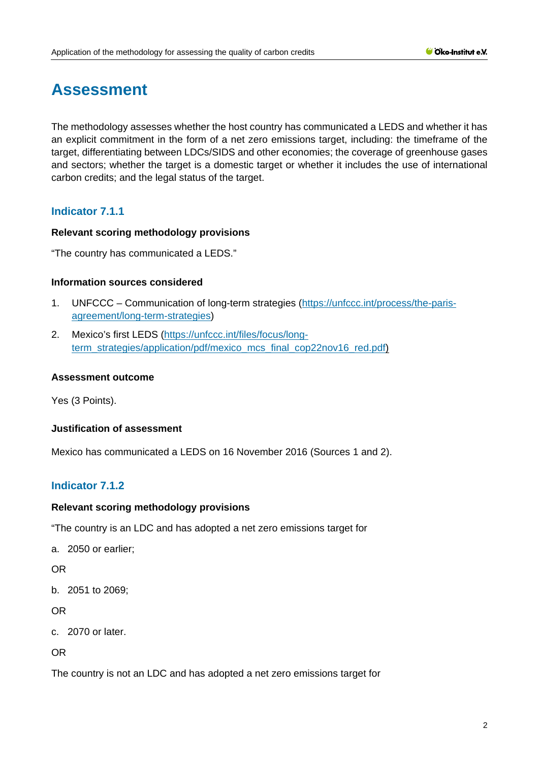# **Assessment**

The methodology assesses whether the host country has communicated a LEDS and whether it has an explicit commitment in the form of a net zero emissions target, including: the timeframe of the target, differentiating between LDCs/SIDS and other economies; the coverage of greenhouse gases and sectors; whether the target is a domestic target or whether it includes the use of international carbon credits; and the legal status of the target.

# **Indicator 7.1.1**

## **Relevant scoring methodology provisions**

"The country has communicated a LEDS."

#### **Information sources considered**

- 1. UNFCCC Communication of long-term strategies [\(https://unfccc.int/process/the-paris](https://unfccc.int/process/the-paris-agreement/long-term-strategies)[agreement/long-term-strategies\)](https://unfccc.int/process/the-paris-agreement/long-term-strategies)
- 2. Mexico's first LEDS [\(https://unfccc.int/files/focus/long](https://unfccc.int/files/focus/long-term_strategies/application/pdf/mexico_mcs_final_cop22nov16_red.pdf)[term\\_strategies/application/pdf/mexico\\_mcs\\_final\\_cop22nov16\\_red.pdf\)](https://unfccc.int/files/focus/long-term_strategies/application/pdf/mexico_mcs_final_cop22nov16_red.pdf)

#### **Assessment outcome**

Yes (3 Points).

## **Justification of assessment**

Mexico has communicated a LEDS on 16 November 2016 (Sources 1 and 2).

# **Indicator 7.1.2**

## **Relevant scoring methodology provisions**

"The country is an LDC and has adopted a net zero emissions target for

a. 2050 or earlier;

OR

b. 2051 to 2069;

OR

c. 2070 or later.

OR

The country is not an LDC and has adopted a net zero emissions target for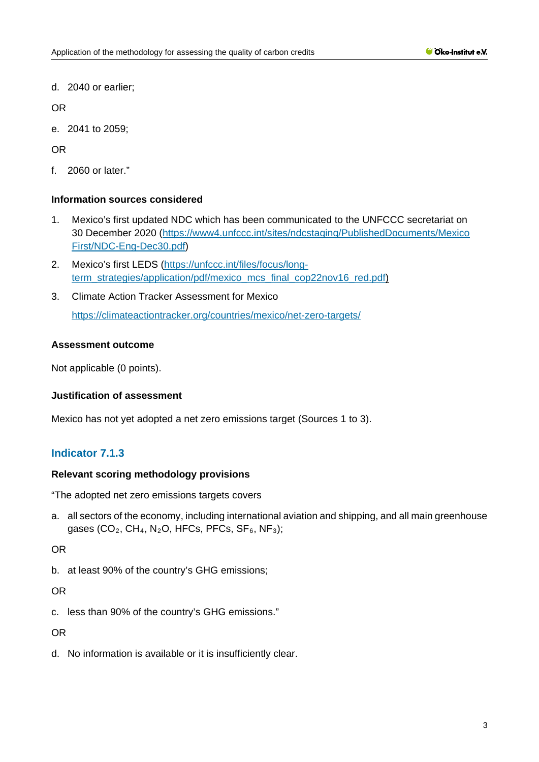d. 2040 or earlier;

OR

e. 2041 to 2059;

OR

f. 2060 or later."

# **Information sources considered**

- 1. Mexico's first updated NDC which has been communicated to the UNFCCC secretariat on 30 December 2020 [\(https://www4.unfccc.int/sites/ndcstaging/PublishedDocuments/Mexico](https://www4.unfccc.int/sites/ndcstaging/PublishedDocuments/Mexico%20First/NDC-Eng-Dec30.pdf)  [First/NDC-Eng-Dec30.pdf\)](https://www4.unfccc.int/sites/ndcstaging/PublishedDocuments/Mexico%20First/NDC-Eng-Dec30.pdf)
- 2. Mexico's first LEDS [\(https://unfccc.int/files/focus/long](https://unfccc.int/files/focus/long-term_strategies/application/pdf/mexico_mcs_final_cop22nov16_red.pdf)[term\\_strategies/application/pdf/mexico\\_mcs\\_final\\_cop22nov16\\_red.pdf\)](https://unfccc.int/files/focus/long-term_strategies/application/pdf/mexico_mcs_final_cop22nov16_red.pdf)
- 3. Climate Action Tracker Assessment for Mexico <https://climateactiontracker.org/countries/mexico/net-zero-targets/>

# **Assessment outcome**

Not applicable (0 points).

## **Justification of assessment**

Mexico has not yet adopted a net zero emissions target (Sources 1 to 3).

# **Indicator 7.1.3**

## **Relevant scoring methodology provisions**

"The adopted net zero emissions targets covers

a. all sectors of the economy, including international aviation and shipping, and all main greenhouse gases (CO<sub>2</sub>, CH<sub>4</sub>, N<sub>2</sub>O, HFCs, PFCs, SF<sub>6</sub>, NF<sub>3</sub>);

OR

b. at least 90% of the country's GHG emissions;

OR

c. less than 90% of the country's GHG emissions."

OR

d. No information is available or it is insufficiently clear.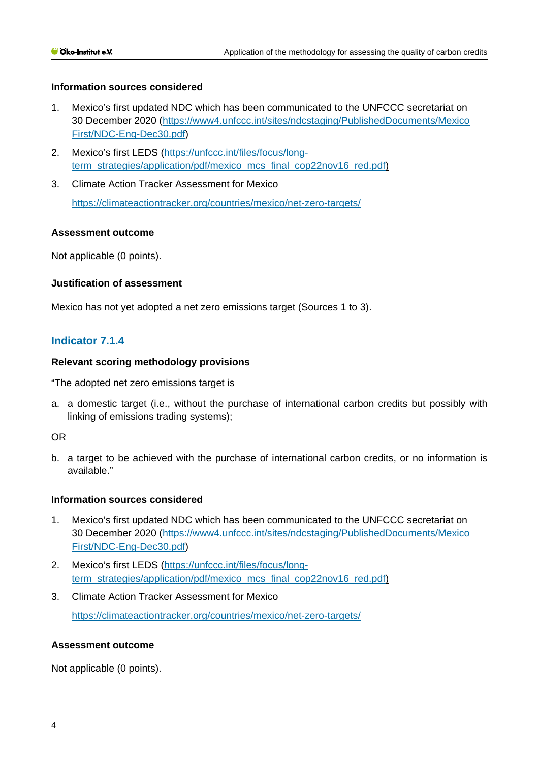#### **Information sources considered**

- 1. Mexico's first updated NDC which has been communicated to the UNFCCC secretariat on 30 December 2020 [\(https://www4.unfccc.int/sites/ndcstaging/PublishedDocuments/Mexico](https://www4.unfccc.int/sites/ndcstaging/PublishedDocuments/Mexico%20First/NDC-Eng-Dec30.pdf)  [First/NDC-Eng-Dec30.pdf\)](https://www4.unfccc.int/sites/ndcstaging/PublishedDocuments/Mexico%20First/NDC-Eng-Dec30.pdf)
- 2. Mexico's first LEDS [\(https://unfccc.int/files/focus/long](https://unfccc.int/files/focus/long-term_strategies/application/pdf/mexico_mcs_final_cop22nov16_red.pdf)[term\\_strategies/application/pdf/mexico\\_mcs\\_final\\_cop22nov16\\_red.pdf\)](https://unfccc.int/files/focus/long-term_strategies/application/pdf/mexico_mcs_final_cop22nov16_red.pdf)
- 3. Climate Action Tracker Assessment for Mexico <https://climateactiontracker.org/countries/mexico/net-zero-targets/>

## **Assessment outcome**

Not applicable (0 points).

#### **Justification of assessment**

Mexico has not yet adopted a net zero emissions target (Sources 1 to 3).

# **Indicator 7.1.4**

#### **Relevant scoring methodology provisions**

"The adopted net zero emissions target is

a. a domestic target (i.e., without the purchase of international carbon credits but possibly with linking of emissions trading systems);

#### OR

b. a target to be achieved with the purchase of international carbon credits, or no information is available."

#### **Information sources considered**

- 1. Mexico's first updated NDC which has been communicated to the UNFCCC secretariat on 30 December 2020 [\(https://www4.unfccc.int/sites/ndcstaging/PublishedDocuments/Mexico](https://www4.unfccc.int/sites/ndcstaging/PublishedDocuments/Mexico%20First/NDC-Eng-Dec30.pdf)  [First/NDC-Eng-Dec30.pdf\)](https://www4.unfccc.int/sites/ndcstaging/PublishedDocuments/Mexico%20First/NDC-Eng-Dec30.pdf)
- 2. Mexico's first LEDS [\(https://unfccc.int/files/focus/long](https://unfccc.int/files/focus/long-term_strategies/application/pdf/mexico_mcs_final_cop22nov16_red.pdf)[term\\_strategies/application/pdf/mexico\\_mcs\\_final\\_cop22nov16\\_red.pdf\)](https://unfccc.int/files/focus/long-term_strategies/application/pdf/mexico_mcs_final_cop22nov16_red.pdf)
- 3. Climate Action Tracker Assessment for Mexico <https://climateactiontracker.org/countries/mexico/net-zero-targets/>

## **Assessment outcome**

Not applicable (0 points).